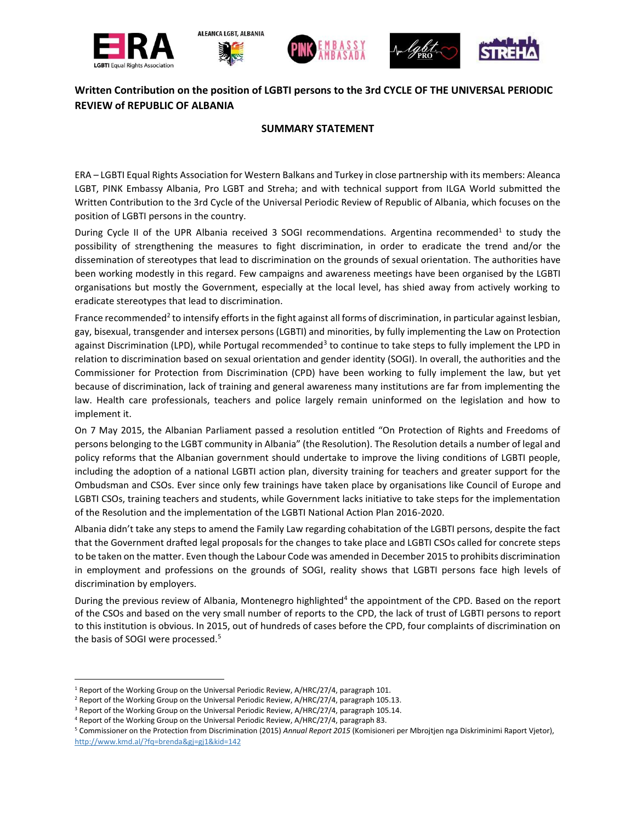









## **Written Contribution on the position of LGBTI persons to the 3rd CYCLE OF THE UNIVERSAL PERIODIC REVIEW of REPUBLIC OF ALBANIA**

## **SUMMARY STATEMENT**

ERA – LGBTI Equal Rights Association for Western Balkans and Turkey in close partnership with its members: Aleanca LGBT, PINK Embassy Albania, Pro LGBT and Streha; and with technical support from ILGA World submitted the Written Contribution to the 3rd Cycle of the Universal Periodic Review of Republic of Albania, which focuses on the position of LGBTI persons in the country.

During Cycle II of the UPR Albania received 3 SOGI recommendations. Argentina recommended<sup>1</sup> to study the possibility of strengthening the measures to fight discrimination, in order to eradicate the trend and/or the dissemination of stereotypes that lead to discrimination on the grounds of sexual orientation. The authorities have been working modestly in this regard. Few campaigns and awareness meetings have been organised by the LGBTI organisations but mostly the Government, especially at the local level, has shied away from actively working to eradicate stereotypes that lead to discrimination.

France recommended<sup>2</sup> to intensify efforts in the fight against all forms of discrimination, in particular against lesbian, gay, bisexual, transgender and intersex persons (LGBTI) and minorities, by fully implementing the Law on Protection against Discrimination (LPD), while Portugal recommended<sup>3</sup> to continue to take steps to fully implement the LPD in relation to discrimination based on sexual orientation and gender identity (SOGI). In overall, the authorities and the Commissioner for Protection from Discrimination (CPD) have been working to fully implement the law, but yet because of discrimination, lack of training and general awareness many institutions are far from implementing the law. Health care professionals, teachers and police largely remain uninformed on the legislation and how to implement it.

On 7 May 2015, the Albanian Parliament passed a resolution entitled "On Protection of Rights and Freedoms of persons belonging to the LGBT community in Albania" (the Resolution). The Resolution details a number of legal and policy reforms that the Albanian government should undertake to improve the living conditions of LGBTI people, including the adoption of a national LGBTI action plan, diversity training for teachers and greater support for the Ombudsman and CSOs. Ever since only few trainings have taken place by organisations like Council of Europe and LGBTI CSOs, training teachers and students, while Government lacks initiative to take steps for the implementation of the Resolution and the implementation of the LGBTI National Action Plan 2016-2020.

Albania didn't take any steps to amend the Family Law regarding cohabitation of the LGBTI persons, despite the fact that the Government drafted legal proposals for the changes to take place and LGBTI CSOs called for concrete steps to be taken on the matter. Even though the Labour Code was amended in December 2015 to prohibits discrimination in employment and professions on the grounds of SOGI, reality shows that LGBTI persons face high levels of discrimination by employers.

During the previous review of Albania, Montenegro highlighted<sup>4</sup> the appointment of the CPD. Based on the report of the CSOs and based on the very small number of reports to the CPD, the lack of trust of LGBTI persons to report to this institution is obvious. In 2015, out of hundreds of cases before the CPD, four complaints of discrimination on the basis of SOGI were processed.<sup>5</sup>

l

<sup>&</sup>lt;sup>1</sup> Report of the Working Group on the Universal Periodic Review, A/HRC/27/4, paragraph 101.

<sup>&</sup>lt;sup>2</sup> Report of the Working Group on the Universal Periodic Review, A/HRC/27/4, paragraph 105.13.

<sup>&</sup>lt;sup>3</sup> Report of the Working Group on the Universal Periodic Review, A/HRC/27/4, paragraph 105.14.

<sup>4</sup> Report of the Working Group on the Universal Periodic Review, A/HRC/27/4, paragraph 83.

<sup>5</sup> Commissioner on the Protection from Discrimination (2015) *Annual Report 2015* (Komisioneri per Mbrojtjen nga Diskriminimi Raport Vjetor), http://www.kmd.al/?fq=brenda&gj=gj1&kid=142